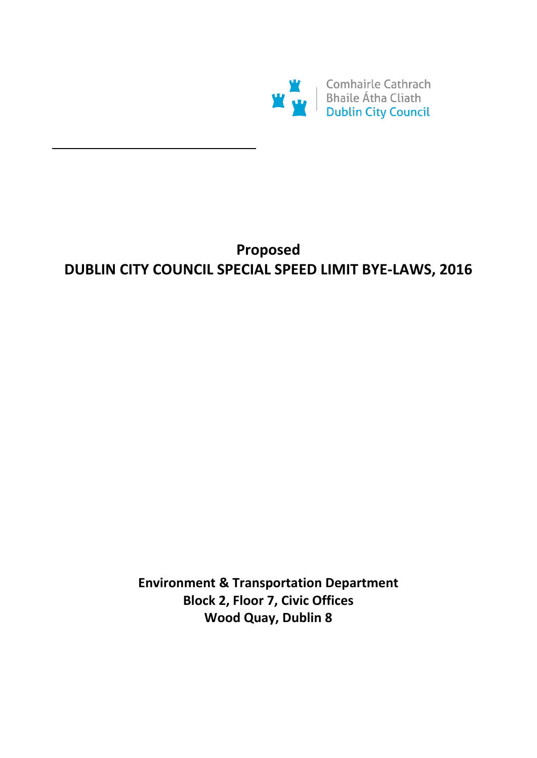

# **Proposed DUBLIN CITY COUNCIL SPECIAL SPEED LIMIT BYE-LAWS, 2016**

**Environment & Transportation Department Block 2, Floor 7, Civic Offices Wood Quay, Dublin 8**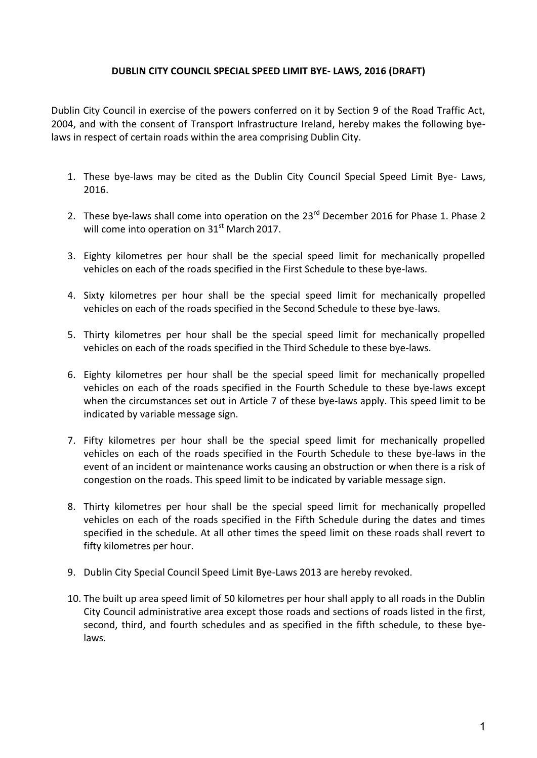### **DUBLIN CITY COUNCIL SPECIAL SPEED LIMIT BYE- LAWS, 2016 (DRAFT)**

Dublin City Council in exercise of the powers conferred on it by Section 9 of the Road Traffic Act, 2004, and with the consent of Transport Infrastructure Ireland, hereby makes the following byelaws in respect of certain roads within the area comprising Dublin City.

- 1. These bye-laws may be cited as the Dublin City Council Special Speed Limit Bye- Laws, 2016.
- 2. These bye-laws shall come into operation on the 23<sup>rd</sup> December 2016 for Phase 1. Phase 2 will come into operation on  $31<sup>st</sup>$  March 2017.
- 3. Eighty kilometres per hour shall be the special speed limit for mechanically propelled vehicles on each of the roads specified in the First Schedule to these bye-laws.
- 4. Sixty kilometres per hour shall be the special speed limit for mechanically propelled vehicles on each of the roads specified in the Second Schedule to these bye-laws.
- 5. Thirty kilometres per hour shall be the special speed limit for mechanically propelled vehicles on each of the roads specified in the Third Schedule to these bye-laws.
- 6. Eighty kilometres per hour shall be the special speed limit for mechanically propelled vehicles on each of the roads specified in the Fourth Schedule to these bye-laws except when the circumstances set out in Article 7 of these bye-laws apply. This speed limit to be indicated by variable message sign.
- 7. Fifty kilometres per hour shall be the special speed limit for mechanically propelled vehicles on each of the roads specified in the Fourth Schedule to these bye-laws in the event of an incident or maintenance works causing an obstruction or when there is a risk of congestion on the roads. This speed limit to be indicated by variable message sign.
- 8. Thirty kilometres per hour shall be the special speed limit for mechanically propelled vehicles on each of the roads specified in the Fifth Schedule during the dates and times specified in the schedule. At all other times the speed limit on these roads shall revert to fifty kilometres per hour.
- 9. Dublin City Special Council Speed Limit Bye-Laws 2013 are hereby revoked.
- 10. The built up area speed limit of 50 kilometres per hour shall apply to all roads in the Dublin City Council administrative area except those roads and sections of roads listed in the first, second, third, and fourth schedules and as specified in the fifth schedule, to these byelaws.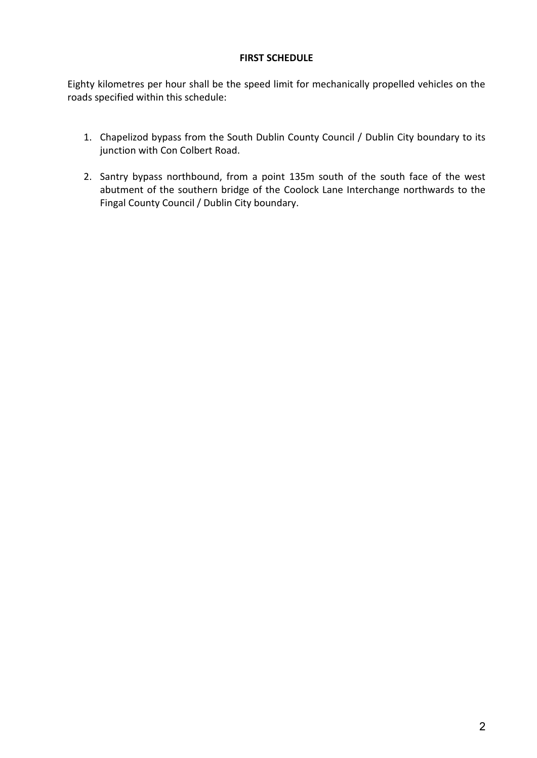### **FIRST SCHEDULE**

Eighty kilometres per hour shall be the speed limit for mechanically propelled vehicles on the roads specified within this schedule:

- 1. Chapelizod bypass from the South Dublin County Council / Dublin City boundary to its junction with Con Colbert Road.
- 2. Santry bypass northbound, from a point 135m south of the south face of the west abutment of the southern bridge of the Coolock Lane Interchange northwards to the Fingal County Council / Dublin City boundary.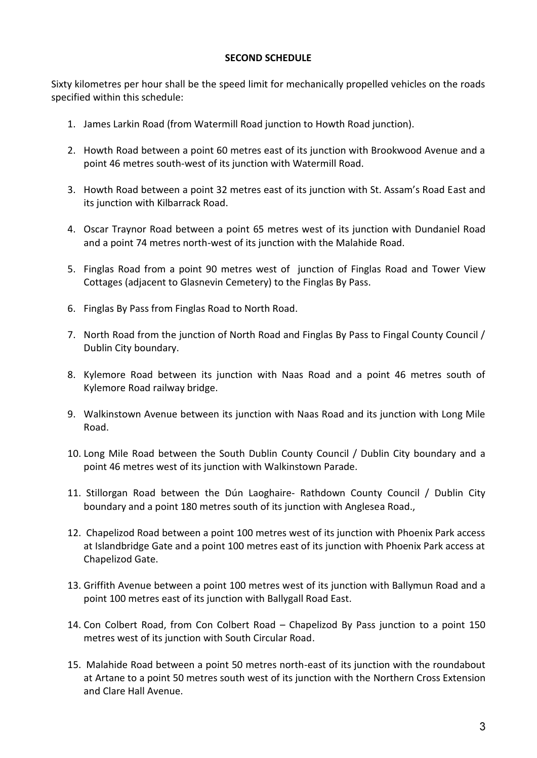### **SECOND SCHEDULE**

Sixty kilometres per hour shall be the speed limit for mechanically propelled vehicles on the roads specified within this schedule:

- 1. James Larkin Road (from Watermill Road junction to Howth Road junction).
- 2. Howth Road between a point 60 metres east of its junction with Brookwood Avenue and a point 46 metres south-west of its junction with Watermill Road.
- 3. Howth Road between a point 32 metres east of its junction with St. Assam's Road East and its junction with Kilbarrack Road.
- 4. Oscar Traynor Road between a point 65 metres west of its junction with Dundaniel Road and a point 74 metres north-west of its junction with the Malahide Road.
- 5. Finglas Road from a point 90 metres west of junction of Finglas Road and Tower View Cottages (adjacent to Glasnevin Cemetery) to the Finglas By Pass.
- 6. Finglas By Pass from Finglas Road to North Road.
- 7. North Road from the junction of North Road and Finglas By Pass to Fingal County Council / Dublin City boundary.
- 8. Kylemore Road between its junction with Naas Road and a point 46 metres south of Kylemore Road railway bridge.
- 9. Walkinstown Avenue between its junction with Naas Road and its junction with Long Mile Road.
- 10. Long Mile Road between the South Dublin County Council / Dublin City boundary and a point 46 metres west of its junction with Walkinstown Parade.
- 11. Stillorgan Road between the Dún Laoghaire- Rathdown County Council / Dublin City boundary and a point 180 metres south of its junction with Anglesea Road.,
- 12. Chapelizod Road between a point 100 metres west of its junction with Phoenix Park access at Islandbridge Gate and a point 100 metres east of its junction with Phoenix Park access at Chapelizod Gate.
- 13. Griffith Avenue between a point 100 metres west of its junction with Ballymun Road and a point 100 metres east of its junction with Ballygall Road East.
- 14. Con Colbert Road, from Con Colbert Road Chapelizod By Pass junction to a point 150 metres west of its junction with South Circular Road.
- 15. Malahide Road between a point 50 metres north-east of its junction with the roundabout at Artane to a point 50 metres south west of its junction with the Northern Cross Extension and Clare Hall Avenue.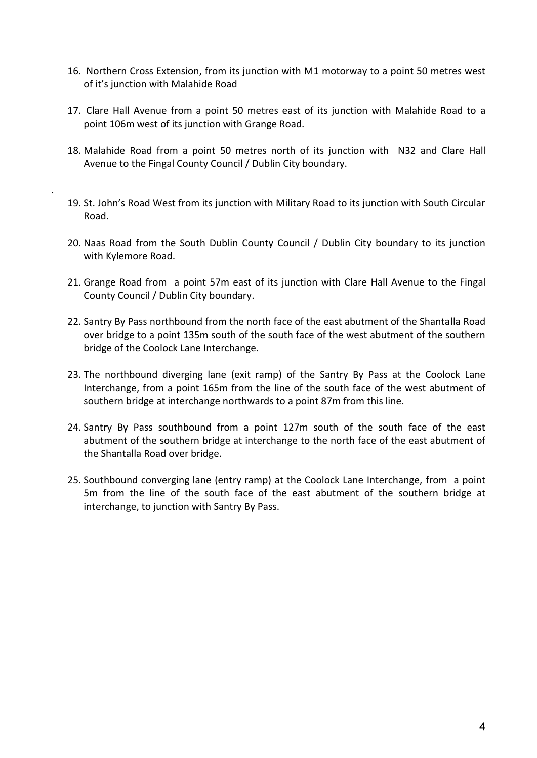- 16. Northern Cross Extension, from its junction with M1 motorway to a point 50 metres west of it's junction with Malahide Road
- 17. Clare Hall Avenue from a point 50 metres east of its junction with Malahide Road to a point 106m west of its junction with Grange Road.
- 18. Malahide Road from a point 50 metres north of its junction with N32 and Clare Hall Avenue to the Fingal County Council / Dublin City boundary.
- 19. St. John's Road West from its junction with Military Road to its junction with South Circular Road.

.

- 20. Naas Road from the South Dublin County Council / Dublin City boundary to its junction with Kylemore Road.
- 21. Grange Road from a point 57m east of its junction with Clare Hall Avenue to the Fingal County Council / Dublin City boundary.
- 22. Santry By Pass northbound from the north face of the east abutment of the Shantalla Road over bridge to a point 135m south of the south face of the west abutment of the southern bridge of the Coolock Lane Interchange.
- 23. The northbound diverging lane (exit ramp) of the Santry By Pass at the Coolock Lane Interchange, from a point 165m from the line of the south face of the west abutment of southern bridge at interchange northwards to a point 87m from this line.
- 24. Santry By Pass southbound from a point 127m south of the south face of the east abutment of the southern bridge at interchange to the north face of the east abutment of the Shantalla Road over bridge.
- 25. Southbound converging lane (entry ramp) at the Coolock Lane Interchange, from a point 5m from the line of the south face of the east abutment of the southern bridge at interchange, to junction with Santry By Pass.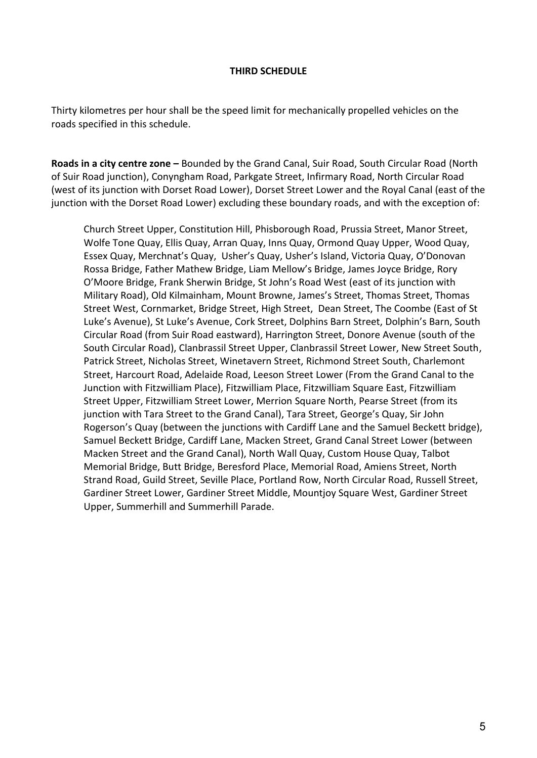#### **THIRD SCHEDULE**

Thirty kilometres per hour shall be the speed limit for mechanically propelled vehicles on the roads specified in this schedule.

**Roads in a city centre zone –** Bounded by the Grand Canal, Suir Road, South Circular Road (North of Suir Road junction), Conyngham Road, Parkgate Street, Infirmary Road, North Circular Road (west of its junction with Dorset Road Lower), Dorset Street Lower and the Royal Canal (east of the junction with the Dorset Road Lower) excluding these boundary roads, and with the exception of:

Church Street Upper, Constitution Hill, Phisborough Road, Prussia Street, Manor Street, Wolfe Tone Quay, Ellis Quay, Arran Quay, Inns Quay, Ormond Quay Upper, Wood Quay, Essex Quay, Merchnat's Quay, Usher's Quay, Usher's Island, Victoria Quay, O'Donovan Rossa Bridge, Father Mathew Bridge, Liam Mellow's Bridge, James Joyce Bridge, Rory O'Moore Bridge, Frank Sherwin Bridge, St John's Road West (east of its junction with Military Road), Old Kilmainham, Mount Browne, James's Street, Thomas Street, Thomas Street West, Cornmarket, Bridge Street, High Street, Dean Street, The Coombe (East of St Luke's Avenue), St Luke's Avenue, Cork Street, Dolphins Barn Street, Dolphin's Barn, South Circular Road (from Suir Road eastward), Harrington Street, Donore Avenue (south of the South Circular Road), Clanbrassil Street Upper, Clanbrassil Street Lower, New Street South, Patrick Street, Nicholas Street, Winetavern Street, Richmond Street South, Charlemont Street, Harcourt Road, Adelaide Road, Leeson Street Lower (From the Grand Canal to the Junction with Fitzwilliam Place), Fitzwilliam Place, Fitzwilliam Square East, Fitzwilliam Street Upper, Fitzwilliam Street Lower, Merrion Square North, Pearse Street (from its junction with Tara Street to the Grand Canal), Tara Street, George's Quay, Sir John Rogerson's Quay (between the junctions with Cardiff Lane and the Samuel Beckett bridge), Samuel Beckett Bridge, Cardiff Lane, Macken Street, Grand Canal Street Lower (between Macken Street and the Grand Canal), North Wall Quay, Custom House Quay, Talbot Memorial Bridge, Butt Bridge, Beresford Place, Memorial Road, Amiens Street, North Strand Road, Guild Street, Seville Place, Portland Row, North Circular Road, Russell Street, Gardiner Street Lower, Gardiner Street Middle, Mountjoy Square West, Gardiner Street Upper, Summerhill and Summerhill Parade.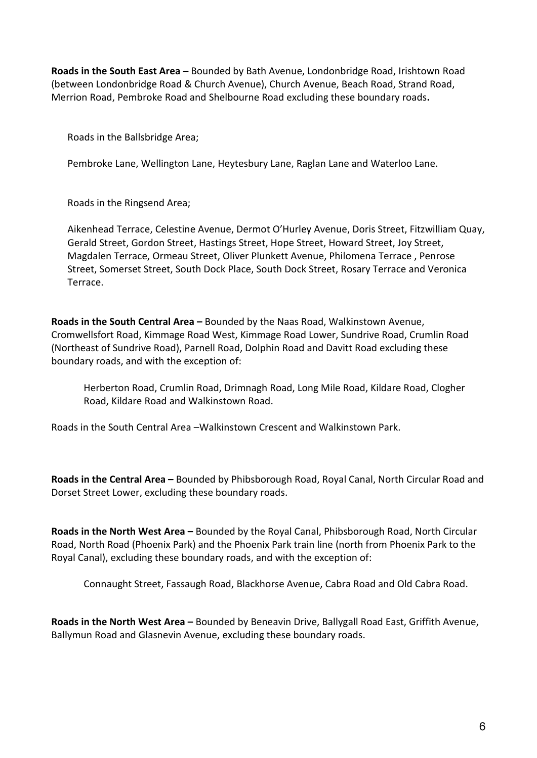**Roads in the South East Area –** Bounded by Bath Avenue, Londonbridge Road, Irishtown Road (between Londonbridge Road & Church Avenue), Church Avenue, Beach Road, Strand Road, Merrion Road, Pembroke Road and Shelbourne Road excluding these boundary roads**.**

Roads in the Ballsbridge Area;

Pembroke Lane, Wellington Lane, Heytesbury Lane, Raglan Lane and Waterloo Lane.

Roads in the Ringsend Area;

Aikenhead Terrace, Celestine Avenue, Dermot O'Hurley Avenue, Doris Street, Fitzwilliam Quay, Gerald Street, Gordon Street, Hastings Street, Hope Street, Howard Street, Joy Street, Magdalen Terrace, Ormeau Street, Oliver Plunkett Avenue, Philomena Terrace , Penrose Street, Somerset Street, South Dock Place, South Dock Street, Rosary Terrace and Veronica Terrace.

**Roads in the South Central Area –** Bounded by the Naas Road, Walkinstown Avenue, Cromwellsfort Road, Kimmage Road West, Kimmage Road Lower, Sundrive Road, Crumlin Road (Northeast of Sundrive Road), Parnell Road, Dolphin Road and Davitt Road excluding these boundary roads, and with the exception of:

Herberton Road, Crumlin Road, Drimnagh Road, Long Mile Road, Kildare Road, Clogher Road, Kildare Road and Walkinstown Road.

Roads in the South Central Area –Walkinstown Crescent and Walkinstown Park.

**Roads in the Central Area –** Bounded by Phibsborough Road, Royal Canal, North Circular Road and Dorset Street Lower, excluding these boundary roads.

**Roads in the North West Area –** Bounded by the Royal Canal, Phibsborough Road, North Circular Road, North Road (Phoenix Park) and the Phoenix Park train line (north from Phoenix Park to the Royal Canal), excluding these boundary roads, and with the exception of:

Connaught Street, Fassaugh Road, Blackhorse Avenue, Cabra Road and Old Cabra Road.

**Roads in the North West Area –** Bounded by Beneavin Drive, Ballygall Road East, Griffith Avenue, Ballymun Road and Glasnevin Avenue, excluding these boundary roads.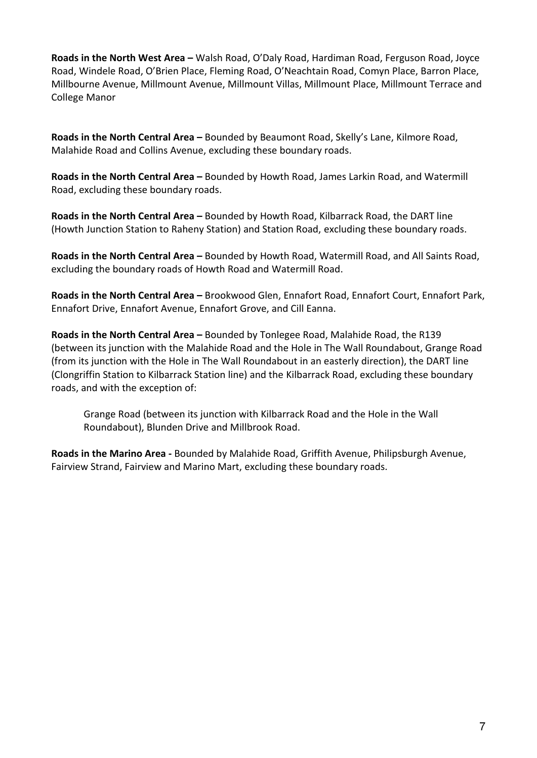**Roads in the North West Area –** Walsh Road, O'Daly Road, Hardiman Road, Ferguson Road, Joyce Road, Windele Road, O'Brien Place, Fleming Road, O'Neachtain Road, Comyn Place, Barron Place, Millbourne Avenue, Millmount Avenue, Millmount Villas, Millmount Place, Millmount Terrace and College Manor

**Roads in the North Central Area –** Bounded by Beaumont Road, Skelly's Lane, Kilmore Road, Malahide Road and Collins Avenue, excluding these boundary roads.

**Roads in the North Central Area –** Bounded by Howth Road, James Larkin Road, and Watermill Road, excluding these boundary roads.

**Roads in the North Central Area –** Bounded by Howth Road, Kilbarrack Road, the DART line (Howth Junction Station to Raheny Station) and Station Road, excluding these boundary roads.

**Roads in the North Central Area –** Bounded by Howth Road, Watermill Road, and All Saints Road, excluding the boundary roads of Howth Road and Watermill Road.

**Roads in the North Central Area –** Brookwood Glen, Ennafort Road, Ennafort Court, Ennafort Park, Ennafort Drive, Ennafort Avenue, Ennafort Grove, and Cill Eanna.

**Roads in the North Central Area –** Bounded by Tonlegee Road, Malahide Road, the R139 (between its junction with the Malahide Road and the Hole in The Wall Roundabout, Grange Road (from its junction with the Hole in The Wall Roundabout in an easterly direction), the DART line (Clongriffin Station to Kilbarrack Station line) and the Kilbarrack Road, excluding these boundary roads, and with the exception of:

Grange Road (between its junction with Kilbarrack Road and the Hole in the Wall Roundabout), Blunden Drive and Millbrook Road.

**Roads in the Marino Area -** Bounded by Malahide Road, Griffith Avenue, Philipsburgh Avenue, Fairview Strand, Fairview and Marino Mart, excluding these boundary roads.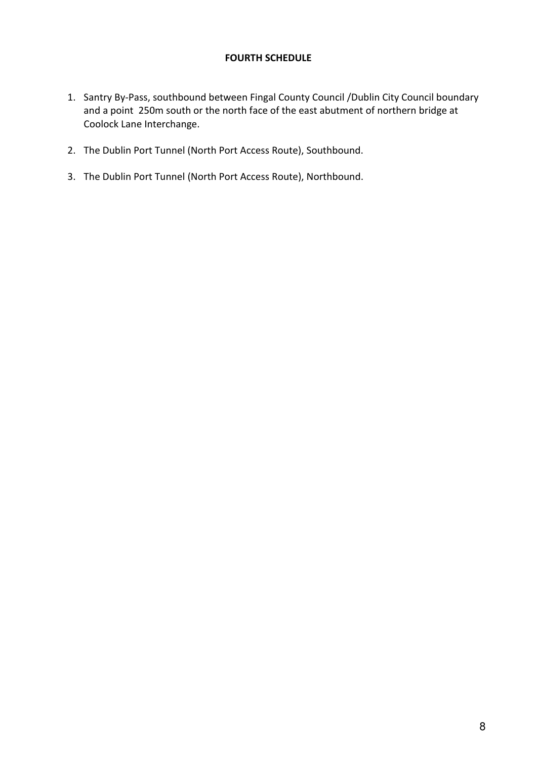## **FOURTH SCHEDULE**

- 1. Santry By-Pass, southbound between Fingal County Council /Dublin City Council boundary and a point 250m south or the north face of the east abutment of northern bridge at Coolock Lane Interchange.
- 2. The Dublin Port Tunnel (North Port Access Route), Southbound.
- 3. The Dublin Port Tunnel (North Port Access Route), Northbound.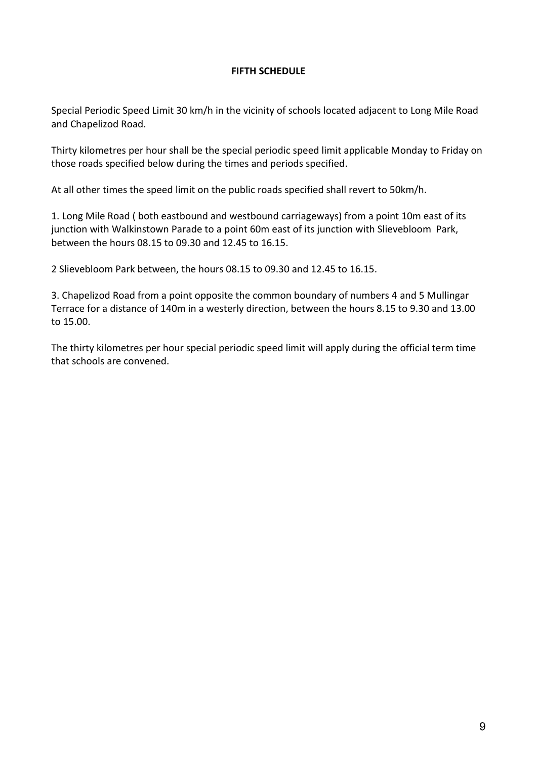### **FIFTH SCHEDULE**

Special Periodic Speed Limit 30 km/h in the vicinity of schools located adjacent to Long Mile Road and Chapelizod Road.

Thirty kilometres per hour shall be the special periodic speed limit applicable Monday to Friday on those roads specified below during the times and periods specified.

At all other times the speed limit on the public roads specified shall revert to 50km/h.

1. Long Mile Road ( both eastbound and westbound carriageways) from a point 10m east of its junction with Walkinstown Parade to a point 60m east of its junction with Slievebloom Park, between the hours 08.15 to 09.30 and 12.45 to 16.15.

2 Slievebloom Park between, the hours 08.15 to 09.30 and 12.45 to 16.15.

3. Chapelizod Road from a point opposite the common boundary of numbers 4 and 5 Mullingar Terrace for a distance of 140m in a westerly direction, between the hours 8.15 to 9.30 and 13.00 to 15.00.

The thirty kilometres per hour special periodic speed limit will apply during the official term time that schools are convened.